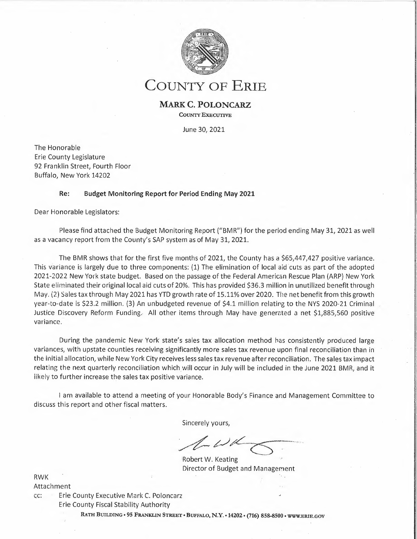

**COUNTY OF ERIE** 

## **MARK C. POLONCARZ**

**COUNTY EXECUTIVE** 

June 30, 2021

· I

The Honorable Erie County Legislature 92 Franklin Street, Fourth Floor Buffalo, New York 14202

## **Re: Budget Monitoring Report for Period Ending May 2021**

Dear Honorable Legislators:

Please find attached the Budget Monitoring Report ("BMR") for the period ending May 31, 2021 as well as a vacancy report from the County's SAP system as of May 31, 2021.

The BMR shows that for the first five months of 2021, the County has a \$65,447,427 positive variance. This variance is largely due to three components: (1) The elimination of local aid cuts as part of the adopted 2021-2022 New York state budget. Based on the passage of the Federal American Rescue Plan (ARP) New York State eliminated their original local aid cuts of 20%. This has provided \$36.3 million in unutilized benefit through May. (2) Sales tax through May 2021 has YTD growth rate of 1s:11% over 2020. The net benefit from this growth year-to-date is \$23.2 million. (3) An unbudgeted revenue of \$4.1 million relating to the NYS 2020-21 Criminal Justice Discovery Reform Funding. All other items through May have generated a net \$1,885,560 positive variance.

During the pandemic New York state's sales tax allocation method has consistently produced large variances, with upstate counties receiving significantly more sales tax revenue upon final reconciliation than in the initial allocation, while New York City receives less sales tax revenue after reconciliation. The sales tax impact relating the next quarterly reconciliation which will occur in July will be included in the June 2021 BMR, and it iikely to further increase the sales tax positive variance.

<sup>I</sup>am available to attend a meeting of your Honorable Body's Finance and Management Committee to discuss this report and other fiscal matters.

Sincerely yours,

Sincerely yours,<br> */\_\_ U d*<br>
Robert W. Keating

Robert W. Keating Director of Budget and Management

RWK Attachment

cc: Erie County Executive Mark C. Poloncarz Erie County Fiscal Stability Authority

**RATH BUILDING• 95 FRANKLIN STREET• BUFFALO, N.Y. • 14202 • (716) 858-8500 • WWW.ERIE.GOV**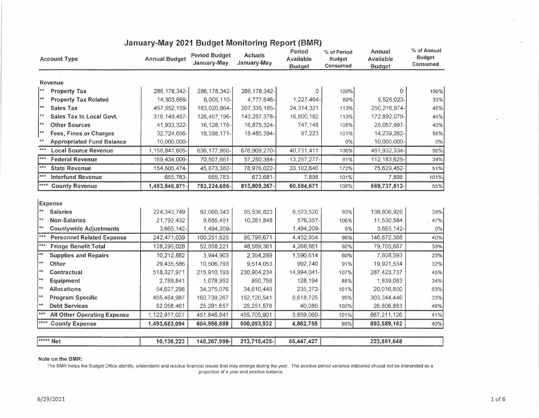| <b>Annual Budget</b>      | <b>Period Budget</b><br>January-May | <b>Actuals</b><br>January-May | Period<br>Available<br><b>Budget</b> | % of Period<br><b>Budget</b><br>Consumed | Annual<br>Available<br><b>Budget</b> |             |
|---------------------------|-------------------------------------|-------------------------------|--------------------------------------|------------------------------------------|--------------------------------------|-------------|
|                           |                                     |                               |                                      |                                          |                                      |             |
| 286, 178, 342-            | 286, 178, 342-                      | 286, 178, 342-                | $\overline{0}$                       | 100%                                     | 0                                    | 100%        |
| 14,303,669-               | 6,005,110-                          | 4,777,646-                    | 1,227,464-                           | 80%                                      | 9,526,023-                           | 33%         |
| 457, 552, 159-            | 183,020,864-                        | 207, 335, 185-                | 24,314,321                           | 113%                                     | 250, 216, 974-                       | 45%         |
| 316, 149, 457-            | 126, 457, 196-                      | 143,257,378-                  | 16,800,182                           | 113%                                     | 172,892,079-                         | 45%         |
| 41,933,322-               | 16,128,176-                         | 16,875,324-                   | 747,148                              | 105%                                     | 25,057,997-                          | 40%         |
| 32,724,656-               | 18,388,171-                         | 18,485,394-                   | 97,223                               | 101%                                     | 14,239,262-                          | 56%         |
| 10,000,000-               |                                     |                               |                                      | 0%                                       | 10,000,000-                          | $0\%$       |
| 1,158,841,605-            | 636, 177, 860-                      | 676,909,270-                  | 40,731,411                           | 106%                                     | 481,932,334-                         | 58%         |
| 169,434,009-              | 70,507,661-                         | 57,250,384-                   | 13,257,277-                          | 81%                                      | 112, 183, 625-                       | 34%         |
| 154,605,474-              | 45,873,382-                         | 78,976,022-                   | 33,102,640                           | 172%                                     | 75,629,452-                          | 51%         |
| 665,783-                  | 665,783-                            | 673,681                       | 7,898                                | 101%                                     | 7,898                                | 101%        |
| 1,483,546,871-            | 753,224,686-                        | 813,809,357-                  | 60,584,671                           | 108%                                     | 669,737,513-                         | 55%         |
| 224,343,749<br>21,792,432 | 92,060,343<br>9,685,491             | 85,536,823<br>10,261,848      | 6,523,520<br>576,357-                | 93%<br>106%                              | 138,806,926<br>11,530,584            | 38%<br>47%  |
| 3,665,142-                | 1,494,209-                          |                               | 1,494,209-                           | 0%                                       | 3,665,142-                           | $0\%$       |
| 242,471,039               | 100,251,625                         | 95,798,671                    | 4,452,954                            | 96%                                      | 146,672,368                          | 40%         |
| 128,295,028               | 52,858,221                          | 48,589,361                    | 4,268,861                            | 92%                                      | 79,705,667                           | 38%         |
| 10,212,882                | 3,944,903                           | 2,354,289                     | 1,590,614                            | 60%                                      | 7,858,593                            | 23%         |
| 29,435,586                | 10,506,793                          | 9,514,053                     | 992,740                              | 91%                                      | 19,921,534                           | 32%         |
| 518,327,971               | 215,910,193                         | 230,904,234                   | 14,994,041-                          | 107%                                     | 287, 423, 737                        | 45%         |
| 2,789,841                 | 1,078,952                           | 950,758                       | 128,194                              | 88%                                      | 1,839,083                            | 34%         |
| 54,627,298                | 34,375,076                          | 34,610,448                    | 235,372-                             | 101%                                     | 20,016,850                           | 63%         |
| 455,464,987               | 160,739,267                         | 152, 120, 541                 | 8,618,725                            | 95%                                      | 303,344,446                          | 33%         |
| 52,058,461                | 25,291,657                          | 25,251,578                    | 40,080                               | 100%                                     | 26,806,883                           | 49%         |
| 1,122,917,027             | 451,846,841                         | 455,705,901                   | 3,859,060-                           | 101%                                     | 667,211,126                          | 41%         |
| 1,493,683,094             | 604,956,688                         | 600,093,932                   | 4,862,755                            | 99%                                      | 893,589,162                          | 40%         |
|                           |                                     |                               |                                      |                                          |                                      |             |
|                           | 10,136,223                          | 148,267,998-                  | 213,715,425-                         | 65,447,427                               |                                      | 223,851,648 |

## **January-May 2021 Budget Monitoring Report (BMR)**

**Note on the BMR:** 

The BMR helps the Budget Office identify, understand and resolve financial issues that may emerge during the year. The positive period variance indicated should not be interpreted as a projection of a year-end positive balance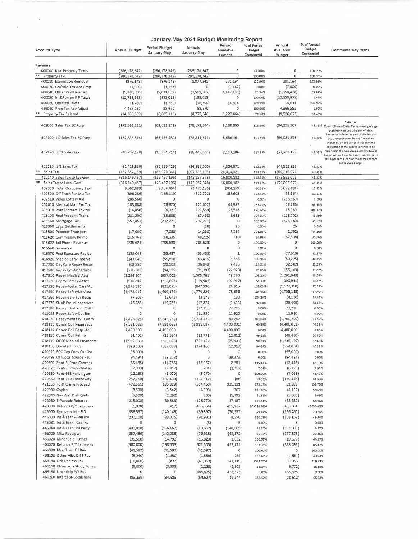|                                                           |                                   |                              | January-May 2021 Budget Monitoring Report |                         |                       |                                   |                                          |                                                                                                                                                                                         |
|-----------------------------------------------------------|-----------------------------------|------------------------------|-------------------------------------------|-------------------------|-----------------------|-----------------------------------|------------------------------------------|-----------------------------------------------------------------------------------------------------------------------------------------------------------------------------------------|
| <b>Account Type</b>                                       | Annual Budget                     | Period Budget<br>January-May | Actuals<br>January-May                    | Period<br>Available     | % of Period<br>Budget | Annual<br>Available               | % of Annual<br><b>Budget</b><br>Consumed | Comments/Key Items                                                                                                                                                                      |
|                                                           |                                   |                              |                                           | <b>Budget</b>           | Consumed              | Budget                            |                                          |                                                                                                                                                                                         |
| Revenue                                                   |                                   |                              |                                           |                         |                       |                                   |                                          |                                                                                                                                                                                         |
| 400000 Real Property Taxes                                | (286, 178, 342)                   | (286, 178, 342)              | (286, 178, 342)                           | 0                       | 100.00%               | 0                                 | 100.00%                                  |                                                                                                                                                                                         |
| Property Tax                                              | (286, 178, 342)                   | (286, 178, 342)              | (286, 178, 342)                           | $\Omega$                | 100.00%               | $\Omega$                          | 100.00%                                  |                                                                                                                                                                                         |
| 400010 Exemption Removal<br>400030 Gn/Sale-Tax Acq Prop   | (876, 148)                        | (876, 148)                   | (1,077,342)<br>$\circ$                    | 201,194                 | 122.96%<br>0.00%      | 201,194<br>(7,000)                | 122.96%<br>0.00%                         |                                                                                                                                                                                         |
| 400040 Other Pay/Lieu-Tax                                 | (7,000)<br>(5, 140, 000)          | (1, 167)<br>(5,031,667)      | (3,589,562)                               | (1, 167)<br>(1,442,105) | 71.34%                | (1,550,438)                       | 69.84%                                   |                                                                                                                                                                                         |
| 400050 Int&Pen on R P Taxes                               | (12, 733, 993)                    | (183, 018)                   | (183, 018)                                | $\circ$                 | 100.00%               | (12, 550, 975)                    | 1.44%                                    |                                                                                                                                                                                         |
| 400060 Omitted Taxes                                      | (1,780)                           | (1,780)                      | (16, 394)                                 | 14,614                  | 920.99%               | 14,614                            | 920.99%                                  |                                                                                                                                                                                         |
| 466060 Prop Tax Rev Adjust                                | 4,455,252                         | 88,670                       | 88,670                                    | 0                       | 100.00%               | 4,366,582                         | 1.99%                                    |                                                                                                                                                                                         |
| **<br>Property Tax Related                                | (14, 303, 669)                    | (6,005,110)                  | (4, 777, 646)                             | (1, 227, 464)           | 79.56%                | (9,526,023)                       | 33.40%                                   |                                                                                                                                                                                         |
| 402000 Sales Tax EC Purp                                  | (172, 531, 111)                   | (69,011,241)                 | (78, 179, 544)                            | 9,168,303               | 113.29%               | (94, 351, 567)                    |                                          | Sales Tax<br>45.31% County Share of Sales Tax is showing a large<br>positive variance at the end of May.                                                                                |
| 402100 1% Sales Tax-EC Purp                               | (162,893,514)                     | (65, 155, 480)               | (73,811,641)                              | 8,656,161               | 113.29%               | (89,081,873)                      | 45.31%                                   | Payments included as part of the 2nd gtr<br>2021 reconciliation by NYS Tax will be<br>known in July and will be included in the                                                         |
| 402120 .25% Sales Tax                                     | (40, 709, 178)                    | (16, 284, 714)               | (18.448,000)                              | 2,163,286               | 113.28%               | (22, 261, 178)                    | 45.32%                                   | calculation of the budget variance to be<br>reported in the June 2021 BMR. The Div. of<br>Budget will continue to closely monitor sales<br>tax in order to ascertain the overall impact |
| 402130 .5% Sales Tax                                      |                                   | (32, 569, 429)               | (36,896,000)                              | 4,326,571               | 113.28%               |                                   | 45.32%                                   | on the 2021 budget.                                                                                                                                                                     |
| $**$<br>Sales Tax                                         | (81, 418, 356)<br>(457, 552, 159) | (183, 020, 864)              | (207, 335, 185)                           | 24,314,321              | 113.29%               | (44, 522, 356)<br>(250, 216, 974) | 45.31%                                   |                                                                                                                                                                                         |
| 402140 Sales Tax to Loc Gov                               | (316, 149, 457)                   | (126, 457, 196)              | (143, 257, 378)                           | 16,800,182              | 113.29%               | (172, 892, 079)                   | 45.31%                                   |                                                                                                                                                                                         |
| Sales Tax to Local Govt.                                  | (316, 149, 457)                   | (126, 457, 196)              | (143, 257, 378)                           | 16,800,182              | 113.29%               | (172, 892, 079)                   | 45.31%                                   |                                                                                                                                                                                         |
| 402300 Hotel Occupancy Tax                                | (9,562,689)                       | (2,434,454)                  | (1,470,195)                               | (964, 259)              | 60.39%                | (8,092,494)                       | 15.37%                                   |                                                                                                                                                                                         |
| 402500 Off Track Par-Mu Tax                               | (396, 286)                        | (165, 119)                   | (317, 722)                                | 152,603                 | 192.42%               | (78, 564)                         | 80.17%                                   |                                                                                                                                                                                         |
| 402510 Video Lottery Aid                                  | (288, 560)                        | 0                            | 0                                         | $\circ$                 | 0.00%                 | (288, 560)                        | 0.00%                                    |                                                                                                                                                                                         |
| 402610 Medical Marj Exc Tax                               | (183, 888)                        | (76, 620)                    | (121, 602)                                | 44,982                  | 158.71%               | (62, 286)                         | 66.13%                                   |                                                                                                                                                                                         |
| 415010 Post Mortem Toxicol                                | (14, 450)                         | (6,021)                      | (29, 539)                                 | 23,518                  | 490.61%               | 15,089                            | 204.42%                                  |                                                                                                                                                                                         |
| 415100 Real Property Trans                                | (201, 200)                        | (83, 833)                    | (87, 498)                                 | 3,665                   | 104.37%               | (113, 702)                        | 43.49%                                   |                                                                                                                                                                                         |
| 415160 Mortgage Tax<br>415360 Legal Settlements           | (557, 451)<br>0                   | (232, 271)<br>0              | (232, 271)<br>(26)                        | $\circ$<br>26           | 100.00%<br>0.00%      | (325, 180)<br>26                  | 41.67%<br>0.00%                          |                                                                                                                                                                                         |
| 415500 Prisoner Transport                                 | (17,000)                          | (7,083)                      | (14, 298)                                 | 7,214                   | 201.85%               | (2,702)                           | 84.10%                                   |                                                                                                                                                                                         |
| 415620 Commissary Reimb                                   | (115, 763)                        | (48, 235)                    | (48, 225)                                 | (10)                    | 99.98%                | (67, 538)                         | 41.66%                                   |                                                                                                                                                                                         |
| 415622 Jail Phone Revenue                                 | (735, 623)                        | (735, 623)                   | (735, 623)                                | 0                       | 100.00%               | $\circ$                           | 100.00%                                  |                                                                                                                                                                                         |
| 416540 Insurance                                          | 0                                 | 0                            | $\Omega$                                  | 0                       | 0.00%                 | 0                                 | 0.00%                                    |                                                                                                                                                                                         |
| 416570 Post Exposure Rabies                               | (133,048)                         | (55, 437)                    | (55, 438)                                 | 1                       | 100.00%               | (77, 610)                         | 41.67%                                   |                                                                                                                                                                                         |
| 416920 Medicd-Early Interve                               | (143, 640)                        | (59, 850)                    | (63, 415)                                 | 3,565                   | 105.96%               | (80, 225)                         | 44.15%                                   |                                                                                                                                                                                         |
| 417200 Day Care Repay Recov                               | (68, 550)                         | (28, 563)                    | (36,048)                                  | 7,485                   | 126.21%               | (32, 502)                         | 52.59%                                   |                                                                                                                                                                                         |
| 417500 Repay Em Ast/Adults                                | (226, 500)                        | (94, 375)                    | (71, 397)                                 | (22, 978)               | 75.65%                | (155, 103)                        | 31.52%                                   |                                                                                                                                                                                         |
| 417510 Repay Medical Asst                                 | (2, 296, 804)                     | (957,002)                    | (1,005,761)                               | 48,760                  | 105.10%               | (1, 291, 043)                     | 43.79%                                   |                                                                                                                                                                                         |
| 417520 Repay-Family Assist                                | (510, 847)                        | (212, 853)                   | (119,906)                                 | (92, 947)               | 56.33%                | (390, 941)                        | 23.47%                                   |                                                                                                                                                                                         |
| 417530 Repay-Foster Care/Ad                               | (1,975,380)<br>(6,478,017)        | (823,075)<br>(1,699,174)     | (847,990)                                 | 24,915<br>75,656        | 103.03%<br>104.45%    | (1, 127, 390)<br>(4,703,188)      | 42.93%<br>27.40%                         |                                                                                                                                                                                         |
| 417550 Repay-SafetyNetAsst<br>417560 Repay-Serv For Recip | (7, 303)                          | (3,043)                      | (1,774,829)<br>(3, 173)                   | 130                     | 104.26%               | (4, 130)                          | 43.44%                                   |                                                                                                                                                                                         |
| 417570 SNAP Fraud Incentives                              | (46, 283)                         | (19, 285)                    | (17, 874)                                 | (1, 411)                | 92.68%                | (28, 409)                         | 38.62%                                   |                                                                                                                                                                                         |
| 417580 Repaymts-Handi Child                               | $\circ$                           | 0                            | (77, 216)                                 | 77,216                  | 0.00%                 | 77,216                            | 0.00%                                    |                                                                                                                                                                                         |
| 418025 Recov-SafetyNet Bur                                | $\Omega$                          | $\Omega$                     | (11,920)                                  | 11,920                  | 0.00%                 | 11,920                            | 0.00%                                    |                                                                                                                                                                                         |
| 418030 Repayments-IV D Adm                                | (4,423,828)                       | (2,643,262)                  | (2,723,529)                               | 80,267                  | 103.04%               | (1,700,299)                       | 61.57%                                   |                                                                                                                                                                                         |
| 418110 Comm Coll Respreads                                | (7, 381, 088)                     | (7,381,088)                  | (2,981,087)                               | (4,400,001)             | 40.39%                | (4,400,001)                       | 40.39%                                   |                                                                                                                                                                                         |
| 418112 Comm Coll Resp. Adj.                               | 4,400,000                         | 4,400,000                    | 0                                         | 4,400,000               | 0.00%                 | 4,400,000                         | 0.00%                                    |                                                                                                                                                                                         |
| 418130 Comm Coll Reimb                                    | (61, 401)                         | (25, 584)                    | (12, 771)                                 | (12, 812)               | 49.92%                | (48, 630)                         | 20.80%                                   |                                                                                                                                                                                         |
| 418410 OCSE Medical Payments                              | (1,987,333)                       | (828,055)                    | (752, 154)                                | (75, 901)               | 90.83%                | (1, 235, 179)                     | 37.85%                                   |                                                                                                                                                                                         |
| 418430 Donated Funds                                      | (929,000)                         | (387,083)                    | (374, 166)                                | (12, 917)               | 96.66%                | (554, 834)                        | 40.28%                                   |                                                                                                                                                                                         |
| 420020 ECC Cap Cons-Otr Gvt<br>420499 OthLocal Source Rev | (95,000)                          | 0                            | 0<br>0                                    | 0                       | 0.00%                 | (95,000)                          | 0.00%                                    |                                                                                                                                                                                         |
| 420500 Rent-RI Prop-Concess                               | (94, 494)<br>(35, 485)            | (39, 373)<br>(14, 785)       | (17,067)                                  | (39, 373)<br>2,281      | 0.00%<br>115.43%      | (94, 494)<br>(18, 418)            | 0.00%<br>48.10%                          |                                                                                                                                                                                         |
| 420520 Rent-RI Prop-Rtw-Eas                               | (7,000)                           | (2,917)                      | (204)                                     | (2,712)                 | 7.01%                 | (6, 796)                          | 2.92%                                    |                                                                                                                                                                                         |
| 420550 Rent-663 Kensington                                | (12, 168)                         | (5,070)                      | (5,070)                                   | 0                       | 100.00%               | (7,098)                           | 41.67%                                   |                                                                                                                                                                                         |
| 420560 Rent-1500 Broadway                                 | (257, 760)                        | (107, 400)                   | (107, 312)                                | (88)                    | 99.92%                | (150, 448)                        | 41.63%                                   |                                                                                                                                                                                         |
| 421550 Forft Crime Proceed                                | (472, 561)                        | (183, 329)                   | (504, 460)                                | 321,131                 | 275.17%               | 31,899                            | 106.75%                                  |                                                                                                                                                                                         |
| 422000 Copies                                             | (8,500)                           | (3,542)                      | (4,308)                                   | 767                     | 121.65%               | (4, 192)                          | 50.69%                                   |                                                                                                                                                                                         |
| 422040 Gas Well Drill Rents                               | (5,500)                           | (2, 292)                     | (500)                                     | (1,792)                 | 21.82%                | (5,000)                           | 9.09%                                    |                                                                                                                                                                                         |
| 422050 E-Payable Rebates                                  | (215,000)                         | (89, 583)                    | (126, 770)                                | 37,187                  | 141.51%               | (88, 230)                         | 58.96%                                   |                                                                                                                                                                                         |
| 423000 Refunds P/Y Expenses                               | (1,000)                           | (417)                        | (456, 354)                                | 455,937                 | 109524.08%            | 455,354                           | 45635.40%                                |                                                                                                                                                                                         |
| 445000 Recovery Int - SID<br>445030 Int & Earn - Gen Inv  | (336, 357)                        | (140, 149)                   | (69, 897)                                 | (70, 252)<br>8,556      | 49.87%                | (266, 460)<br>(108, 169)          | 20.78%<br>45.94%                         |                                                                                                                                                                                         |
| 445031 Int & Earn - Cap Inv                               | (200, 100)<br>0                   | (83, 375)<br>0               | (91, 931)<br>(5)                          | 5                       | 110.26%<br>0.00%      | 5                                 | 0.00%                                    |                                                                                                                                                                                         |
| 445040 Int & Earn-3rd Party                               | (400,000)                         | (166, 667)                   | (18, 662)                                 | (148,005)               | 11.20%                | (381, 338)                        | 4.67%                                    |                                                                                                                                                                                         |
| 466000 Misc Receipts                                      | (357, 486)                        | (142, 286)                   | (79, 913)                                 | (62, 372)               | 56.16%                | (277, 573)                        | 22.35%                                   |                                                                                                                                                                                         |
| 466020 Minor Sale - Other                                 | (35,500)                          | (14, 792)                    | (15, 823)                                 | 1,032                   | 106.98%               | (19,677)                          | 44.57%                                   |                                                                                                                                                                                         |
| 466070 Refunds P/Y Expenses                               | (980,000)                         | (198, 333)                   | (621, 505)                                | 423,171                 | 313.36%               | (358, 495)                        | 63.42%                                   |                                                                                                                                                                                         |
| 466090 Misc Trust Fd Rev                                  | (41, 597)                         | (41,597)                     | (41, 597)                                 | $\circ$                 | 100.00%               | 0                                 | 100.00%                                  |                                                                                                                                                                                         |
| 466120 Other Misc DISS Rev                                | (3, 240)                          | (1, 350)                     | (1,589)                                   | 239                     | 117.68%               | (1,651)                           | 49.03%                                   |                                                                                                                                                                                         |
| 466130 Oth Unclass Rev                                    | (10,000)                          | (833)                        | (41, 953)                                 | 41,119                  | 5034.27%              | 31,953                            | 419.53%                                  |                                                                                                                                                                                         |
| 466150 Chlamydia Study Forms                              | (8,000)                           | (3, 333)                     | (1, 228)                                  | (2, 105)                | 36.84%                | (6, 772)                          | 15.35%                                   |                                                                                                                                                                                         |
| 466180 Unanticip P/Y Rev                                  | 0                                 | 0                            | (465,625)                                 | 465,625                 | 0.00%                 | 465,625                           | 0.00%                                    |                                                                                                                                                                                         |
| 466260 Intercept-LocalShare                               | (83, 239)                         | (34, 683)                    |                                           |                         |                       |                                   |                                          |                                                                                                                                                                                         |

 $\bar{t}$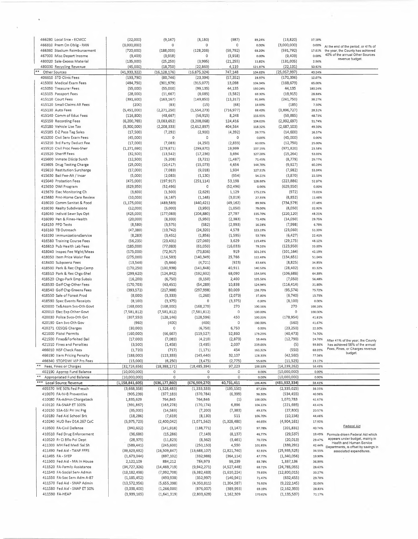|                  | 466280 Local Srce - ECMCC    | (22,000)           | (9, 167)        | (8, 180)       | (987)         | 89.24%  | (13, 820)      | 37.18%           |                                                                  |
|------------------|------------------------------|--------------------|-----------------|----------------|---------------|---------|----------------|------------------|------------------------------------------------------------------|
|                  | 466310 Prem On Oblig - RAN   | (3,000,000)        | 0               | 0              | 0             | 0.00%   | (3,000,000)    | 0.00%            | At the end of the period, or 41% of                              |
|                  | 466360 Stadium Reimbursement | (720,000)          | (188,000)       | (128, 208)     | (59, 792)     | 68.20%  | (591, 792)     | 17.81%           | the year, the County has achieved                                |
|                  | 467000 Misc Depart Income    | (9,403)            | (3,918)         | 0              | (3,918)       | 0.00%   | (9,403)        | 0.00%            | 40% of the annual Other Sources                                  |
|                  | 480020 Sale-Excess Material  | (135,000)          | (25, 250)       | (3,995)        | (21, 255)     | 15.82%  | (131,005)      | 2.96%            | revenue budget.                                                  |
|                  | 480030 Recycling Revenue     | (45,000)           | (18, 750)       | (22,869)       | 4,119         | 121.97% | (22, 131)      | 50.82%           |                                                                  |
|                  | Other Sources                | (41, 933, 322)     | (16, 128, 176)  | (16, 875, 324) | 747,148       | 104.63% | (25,057,997)   | 40.24%           |                                                                  |
|                  | 406610 STD Clinic Fees       | (193,790)          | (80, 746)       | (23,394)       | (57, 352)     | 28.97%  | (170, 396)     | 12.07%           |                                                                  |
|                  | 415000 Medical Exam Fees     | (484, 750)         | (301, 979)      | (315,077)      | 13,098        | 104.34% | (169, 673)     | 65.00%           |                                                                  |
|                  | 415050 Treasurer Fees        | (55,000)           | (55,000)        | (99, 135)      | 44,135        | 180.24% | 44,135         | 180.24%          |                                                                  |
|                  | 415105 Passport Fees         | (28,000)           | (11,667)        | (8,085)        | (3,582)       | 69.30%  | (19, 915)      | 28.88%           |                                                                  |
|                  | 415110 Court Fees            | (391,600)          | (163, 167)      | (149, 850)     | (13, 317)     | 91.84%  | (241,750)      | 38.27%           |                                                                  |
|                  | 415120 Small Claims AR Fees  | (200)              | (83)            | (15)           | (68)          | 18.00%  | (185)          | 7.50%            |                                                                  |
|                  | 415130 Auto Fees             |                    |                 |                |               |         | (3,896,727)    |                  |                                                                  |
|                  | 415140 Comm of Educ Fees     | (5,451,000)        | (2,271,250)     | (1,554,273)    | (716, 977)    | 68.43%  |                | 28.51%<br>48.73% |                                                                  |
|                  |                              | (116,800)          | (48, 667)       | (56, 915)      | 8,248         | 116.95% | (59, 885)      |                  |                                                                  |
|                  | 415150 Recording Fees        | (6, 200, 765)      | (3,083,652)     | (3,208,068)    | 124,416       | 104.03% | (2,992,697)    | 51.74%           |                                                                  |
|                  | 415180 Vehicle Use Tax       | (5,300,000)        | (2, 208, 333)   | (2,612,897)    | 404,564       | 118.32% | (2,687,103)    | 49.30%           |                                                                  |
|                  | 415185 E-Z Pass Tag Sales    | (17,500)           | (7, 292)        | (2,900)        | (4, 392)      | 39.77%  | (14,600)       | 16.57%           |                                                                  |
|                  | 415200 Civil Serv Exam Fees  | (45,000)           | 0               | 0              | 0             | 0.00%   | (45,000)       | 0.00%            |                                                                  |
|                  | 415210 3rd Party Deduct Fee  | (17,000)           | (7,083)         | (4, 250)       | (2,833)       | 60.00%  | (12,750)       | 25.00%           |                                                                  |
|                  | 415510 Civil Proc Fees-Sher  | (1, 271, 690)      | (279, 871)      | (299, 870)     | 19,999        | 107.15% | (971, 820)     | 23.58%           |                                                                  |
|                  | 415520 Sheriff Fees          | (32,500)           | (13, 542)       | (17, 236)      | 3,694         | 127.28% | (15, 264)      | 53.03%           |                                                                  |
|                  | 415600 Inmate Discip Surch   | (12,500)           | (5,208)         | (3, 721)       | (1, 487)      | 71.45%  | (8, 779)       | 29.77%           |                                                                  |
|                  | 415605 Drug Testing Charge   | (25,000)           | (10, 417)       | (15,073)       | 4,656         | 144 70% | (9,927)        | 60.29%           |                                                                  |
|                  | 415610 Restitution Surcharge | (17,000)           | (7,083)         | (9,018)        | 1,934         | 127.31% | (7,982)        | 53.04%           |                                                                  |
|                  | 415630 Bail Fee-Alt / Incar  | (5,000)            | (2,083)         | (1, 130)       | (954)         | 54.22%  | (3,870)        | 22.59%           |                                                                  |
|                  | 415640 Probation Fees        | (475,000)          | (197, 917)      | (251, 114)     | 53,198        | 126.88% | (223, 886)     | 52,87%           |                                                                  |
|                  | 415650 DWI Program           | (629, 950)         | (52, 496)       | 0              | (52, 496)     | 0.00%   | (629, 950)     | 0.00%            |                                                                  |
|                  | 415670 Elec Monitoring Ch    | (3,600)            | (1,500)         | (2,629)        | 1,129         | 175.23% | (972)          | 73.01%           |                                                                  |
|                  | 415680 Pmt-Home Care Review  | (10,000)           | (4, 167)        | (1, 148)       | (3,019)       | 27.55%  | (8,852)        | 11.48%           |                                                                  |
|                  | 416020 Comm Sanitat & Food   | (1, 175, 000)      | (489, 583)      | (440,421)      | (49,162)      | 89.96%  | (734, 579)     | 37.48%           |                                                                  |
|                  | 416030 Realty Subdivisions   | (12,000)           | (5,000)         | (3,950)        | (1,050)       | 79.00%  | (8,050)        | 32.92%           |                                                                  |
|                  |                              |                    |                 |                |               |         |                |                  |                                                                  |
|                  | 416040 Individ Sewr Sys Opt  | (425,000)          | (177,083)       | (204, 880)     | 27,797        | 115.70% | (220, 120)     | 48.21%           |                                                                  |
|                  | 416090 Pen & Fines-Health    | (20,000)           | (8,333)         | (5,950)        | (2, 383)      | 71.40%  | (14,050)       | 29.75%           |                                                                  |
|                  | 416150 PPD Tests             | (8,580)            | (3,575)         | (582)          | (2,993)       | 16.28%  | (7,998)        | 6.78%            |                                                                  |
|                  | 416160 TB Outreach           | (47, 380)          | (19, 742)       | (24, 320)      | 4,578         | 123.19% | (23,060)       | 51.33%           |                                                                  |
|                  | 416190 ImmunizationsService  | (8, 283)           | (3, 451)        | (1,856)        | (1, 595)      | 53.78%  | (6,427)        | 22.41%           |                                                                  |
|                  | 416580 Training Course Fees  | (56, 235)          | (23, 431)       | (27,060)       | 3,629         | 115.49% | (29, 175)      | 48.12%           |                                                                  |
|                  | 416610 Pub Health Lab Fees   | (185,000)          | (77,083)        | (61,050)       | (16,033)      | 79.20%  | (123,950)      | 33.00%           |                                                                  |
|                  | 418040 Inspec Fee Wght/Meas  | (175,000)          | (72, 917)       | (73,836)       | 919           | 101.26% | (101, 164)     | 42.19%           |                                                                  |
|                  | 418050 Item Price Waivr Fee  | (275,000)          | (114, 583)      | (140, 349)     | 25,766        | 122.49% | (134, 651)     | 51.04%           |                                                                  |
|                  | 418400 Subpoena Fees         | (13,546)           | (5,644)         | (4, 721)       | (923)         | 83.64%  | (8,825)        | 34.85%           |                                                                  |
|                  | 418500 Park & Rec Chgs-Camp  | (170, 250)         | (100, 938)      | (141, 848)     | 40,911        | 140.53% | (28, 402)      | 83.32%           |                                                                  |
|                  | 418510 Park & Rec Chgs-Shel  | (299, 620)         | (124, 842)      | (192, 932)     | 68,090        | 154.54% | (106, 688)     | 64.39%           |                                                                  |
|                  | 418520 Chgs-Park Emp Subsis  | (16, 200)          | (6,750)         | (9, 150)       | 2,400         | 135.56% | (7,050)        | 56.48%           |                                                                  |
|                  | 418530 Golf Chg-Other Fees   | (170, 703)         | (43, 451)       | (54, 289)      | 10,838        | 124.94% | (116, 414)     | 31.80%           |                                                                  |
|                  | 418540 Golf Chg-Greens Fees  | (393, 572)         | (217,988)       | (297, 998)     | 80,009        | 136,70% | (95, 574)      | 75.72%           |                                                                  |
|                  | 418550 Sale of Forest Prod   | (8,000)            | (3, 333)        | (1, 260)       | (2,073)       | 37.80%  | (6,740)        | 15.75%           |                                                                  |
|                  | 418590 Spec Events Receipts  | (8, 100)           | (3, 375)        | 0              | (3, 375)      | 0.00%   | (8, 100)       | 0.00%            |                                                                  |
|                  | 420000 Tx&Assm Svs-Oth Govt  | (168,000)          |                 | (168, 270)     | 270           | 100.16% | 270            | 100.16%          |                                                                  |
|                  |                              |                    | (168,000)       |                | 0             |         | 0              |                  |                                                                  |
|                  | 420010 Elec Exp Other Govt   | (7, 581, 812)      | (7,581,812)     | (7, 581, 812)  |               | 100.00% |                | 100.00%          |                                                                  |
|                  | 420030 Police Svcs-Oth Gvt   | (307, 550)         | (128, 146)      | (128, 596)     | 450           | 100.35% | (178, 954)     | 41.81%           |                                                                  |
|                  | 420190 Gen Svc-Oth Gov       | (960)              | (400)           | (400)          | 0             | 100,00% | (560)          | 41.67%           |                                                                  |
|                  | 420271 CESQG Charges         | (30,000)           | 0               | (6,750)        | 6,750         | 0.00%   | (23, 250)      | 22.50%           |                                                                  |
|                  | 421000 Pistol Permits        | (160,000)          | (66, 667)       | (119, 527)     | 52,860        | 179.29% | (40, 473)      | 74.70%           |                                                                  |
|                  | 421500 Fines&Forfeited Bail  | (17,000)           | (7,083)         | (4, 210)       | (2,873)       | 59.44%  | (12,790)       | 24.76%           | After 41% of the year, the County                                |
|                  | 421510 Fines and Penalties   | (3,500)            | (1,458)         | (3,495)        | 2,037         | 239.66% | (5)            | 99.86%           | has achieved 56% of the annual                                   |
|                  | 466010 NSF Check Fees        | (1,720)            | (717)           | (1, 171)       | 454           | 163.32% | (550)          | 68.05%           | Fees, Fines, or Charges revenue<br>budget.                       |
|                  | 466190 Item Pricing Penalty  | (188,000)          | (113, 333)      | (145, 440)     | 32,107        | 128.33% | (42, 560)      | 77.36%           |                                                                  |
|                  | 466340 STOPDWI VIP Prs Fees  | (15,000)           | (6, 250)        | (3, 475)       | (2, 775)      | 55.60%  | (11, 525)      | 23.17%           |                                                                  |
| $\pmb{*}\pmb{*}$ | Fees, Fines or Charges       | (32,724,656)       | (18, 388, 171)  | (18, 485, 394) | 97,223        | 100.53% | (14, 239, 262) | 56.49%           |                                                                  |
|                  | 402190 Approp Fund Balance   | (10,000,000)       | 0               | 0              | 0             | 0.00%   | (10,000,000)   | 0.00%            |                                                                  |
|                  | Appropriated Fund Balance    | (10,000,000)       | 0               | $\circ$        | $\circ$       | 0.00%   | (10,000,000)   | 0.00%            |                                                                  |
| ***              | Local Source Revenue         | (1, 158, 841, 605) | (636, 177, 860) | (676,909,270)  | 40,731,411    | 106.40% | (481,932,334)  | 58.41%           |                                                                  |
|                  | 405570 ME 50% Fed Presch     | (3,668,358)        | (1,528,483)     | (1, 333, 333)  | (195, 150)    | 87.23%  | (2,335,025)    | 36.35%           |                                                                  |
|                  | 410070 FA-IV-B Preventive    | (905, 239)         | (377, 183)      | (370, 784)     | (6, 399)      | 98.30%  | (534, 455)     | 40.96%           |                                                                  |
|                  | 410080 FA-Admin Chargeback   | 1,835,629          | 764,845         | 764,846        | (1)           | 100.00% | 1,070,783      | 41.67%           |                                                                  |
|                  | 410120 FA-SNAP ET 100%       | (391, 867)         | (163, 278)      | (170, 174)     | 6,896         | 104.22% | (221, 693)     | 43.43%           |                                                                  |
|                  | 410150 SSA-SSI Pri Inc Prg   | (35,000)           | (14, 583)       | (7, 200)       | (7, 383)      | 49.37%  | (27, 800)      | 20.57%           |                                                                  |
|                  | 410180 Fed Aid School Brk    | (18, 286)          | (7,619)         | (8, 130)       | 511           | 106.70% | (10, 156)      | 44.46%           |                                                                  |
|                  | 410240 HUD Rev D14.267 CoC   | (5,975,723)        | (2,400,042)     | (1,071,562)    |               | 44.65%  |                | 17.93%           |                                                                  |
|                  |                              |                    |                 |                | (1,328,480)   |         | (4,904,161)    |                  | Federal Aid                                                      |
|                  | 410500 FA-Civil Defense      | (340, 602)         | (141, 918)      | (138, 771)     | (3, 147)      | 97.78%  | (201, 831)     | 40.74%           |                                                                  |
|                  | 410510 Fed Drug Enforcement  | (36, 686)          | (15, 286)       | (7, 149)       | (8, 137)      | 46,77%  | (29, 537)      | 19.49%           | Formula driven Federal Aid which                                 |
|                  | 410520 Fr Ci Bflo Pol Dept   | (28, 375)          | (11, 823)       | (8, 362)       | (3,461)       | 70.72%  | (20, 013)      | 29.47%           | appears under budget, mainly in                                  |
|                  | 411000 MH Fed Medi Sal Sh    | (589, 441)         | (245,600)       | (250, 150)     | 4,550         | 101.85% | (339, 291)     | 42.44%           | Health and Human Service<br>Departments, is offset by savings in |
|                  | 411490 Fed Aid - TANF FFFS   | (39, 623, 632)     | (16, 509, 847)  | (13,688,107)   | (2,821,740)   | 82.91%  | (25, 935, 525) | 34.55%           | associated expenditures.                                         |
|                  | 411495 FA - SYEP             | (1,673,044)        | (697, 102)      | (332,988)      | (364, 114)    | 47.77%  | (1,340,056)    | 19.90%           |                                                                  |
|                  | 411500 Fed Aid - MA In House | 2,122,109          | 884,212         | 784,973        | 99,239        | 88.78%  | 1,337,136      | 36,99%           |                                                                  |
|                  | 411520 FA-Family Assistance  | (34, 727, 326)     | (14, 469, 719)  | (9,942,271)    | (4,527,448)   | 68.71%  | (24, 785, 055) | 28.63%           |                                                                  |
|                  | 411540 FA-Social Serv Admin  | (19, 182, 498)     | (7,992,708)     | (6, 382, 483)  | (1,610,224)   | 79.85%  | (12,800,015)   | 33.27%           |                                                                  |
|                  | 411550 FA-Soc Serv Adm A-87  | (1, 185, 452)      | (493, 938)      | (352, 997)     | (140, 941)    | 71.47%  | (832, 455)     | 29.78%           |                                                                  |
|                  | 411570 Fed Aid - SNAP Admin  | (13,572,956)       | (5,655,398)     | (4,350,811)    | (1, 304, 587) | 76.93%  | (9, 222, 145)  | 32.06%           |                                                                  |
|                  | 411580 Fed Aid - SNAP ET 50% | (3,038,400)        | (1,266,000)     | (876,007)      | (389,993)     | 69.19%  | (2, 162, 393)  | 28.83%           |                                                                  |
|                  | 411590 FA-HEAP               | (3,939,165)        | (1,641,319)     | (2,803,628)    | 1,162,309     | 170.82% | (1, 135, 537)  | 71.17%           |                                                                  |
|                  |                              |                    |                 |                |               |         |                |                  |                                                                  |

 $\mathcal{O}(\frac{1}{\sqrt{2}})$ 

 $\bar{\mathbf{r}}$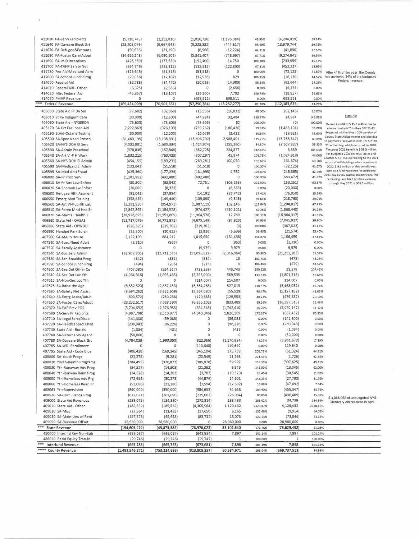| 411610 FA-Serv/Recipients    | (5,310,745)     | (2,212,810)     | (1,016,726)     | (1, 196, 084)  | 45.95%     | (4, 294, 019)   | 19.14%    |                                                                                     |
|------------------------------|-----------------|-----------------|-----------------|----------------|------------|-----------------|-----------|-------------------------------------------------------------------------------------|
| 411640 FA-Daycare Block Grt  | (23, 203, 076)  | (9,667,948)     | (9, 223, 332)   | (444, 617)     | 95.40%     | (13,979,744)    | 39.75%    |                                                                                     |
| 411670 FA-Refugee&Entrants   | (50, 856)       | (21, 190)       | (8,966)         | (12, 224)      | 42.31%     | (41,890)        | 17.63%    |                                                                                     |
| 411680 FA-Foster Care/Adopt  | (14, 616, 248)  | (6,090,103)     | (5,341,407)     | (748, 697)     | 87.71%     | (9, 274, 841)   | 36.54%    |                                                                                     |
| 411690 FA-IV-D Incentives    | (426, 359)      | (177, 650)      | (192, 400)      | 14,750         | 108.30%    | (233,959)       | 45.13%    |                                                                                     |
| 411700 FA-TANF Safety Net    | (564, 749)      | (235, 312)      | (112, 512)      | (122, 800)     | 47.81%     | (452, 237)      | 19.92%    |                                                                                     |
| 411780 Fed Aid-Medicaid Adm  | (123, 643)      | (51, 518)       | (51, 518)       | 0              | 100.00%    | (72, 125)       | 41.67%    |                                                                                     |
| 412000 FA-School Lunch Prog  |                 |                 |                 | 829            | 106.85%    |                 | 44.52%    | After 41% of the year, the County<br>has achieved 34% of the budgeted               |
|                              | (29,056)        | (12, 107)       | (12, 936)       |                |            | (16, 120)       |           | Federal revenue.                                                                    |
| 414000 Federal Aid           | (82, 733)       | (34, 472)       | (20, 089)       | (14, 383)      | 58.28%     | (62, 644)       | 24.28%    |                                                                                     |
| 414010 Federal Aid - Other   | (6, 375)        | (2,656)         | 0               | (2,656)        | 0.00%      | (6, 375)        | 0.00%     |                                                                                     |
| 414020 Misc Federal Aid      | (45, 857)       | (19, 107)       | (26,900)        | 7,793          | 140.79%    | (18, 957)       | 58.66%    |                                                                                     |
| 414030 FMAP Revenue          | 0               | 0               | (698,511)       | 698,511        | 0.00%      | 698,511         | 0.00%     |                                                                                     |
| *** Federal Revenue          | (169, 434, 009) | (70, 507, 661)  | (57, 250, 384)  | (13, 257, 277) | 81.20%     | (112, 183, 625) | 33.79%    |                                                                                     |
| 405000 State Aid Fr Da Sal   | (77, 682)       | (32, 368)       | (15, 536)       | (16, 832)      | 48.00%     | (62, 146)       | 20.00%    |                                                                                     |
| 405010 St Re Indigent Care   | (30,000)        | (12,500)        | (44, 984)       | 32,484         | 359.87%    | 14,984          | 149.95%   | <b>State Aid</b>                                                                    |
| 405060 State Aid - NYSERDA   | (75, 603)       | (75, 603)       | (75, 603)       | (0)            | 100.00%    | $\{O\}$         | 100.00%   | Overall benefit of \$45.2 million due to                                            |
| 405170 SA-Crt Fac Incen Aid  | (2, 222, 863)   | (926, 193)      | (739, 762)      | (186, 430)     | 79.87%     | (1,483,101)     | 33.28%    | elimination by NYS in their SFY 21-22                                               |
| 405190 StAid-Octane Testing  | (30,000)        | (12,500)        | (10,079)        | (2, 421)       | 80.64%     | (19, 921)       | 33.60%    | Budget of withholding a 20% portion of                                              |
| 405500 SA-Spec Need Presch   | (31, 460, 139)  | (13, 108, 391)  | (15,696,792)    | 2,588,401      | 119.75%    | (15, 763, 347)  | 49.89%    | County State Aid payments and also due                                              |
| 405520 SA-NYS DOH EI Serv    | (4,032,801)     | (1,680,334)     | (1,424,974)     | (255, 360)     | 84.80%     | (2,607,827)     | 35.33%    | to payments received in 2021 for SFY 20-<br>21 witholdings which occurred in 2020.  |
| 405530 SA-Admin Preschool    | (378, 836)      | (157, 848)      | (382, 725)      | 224,877        | 242.46%    | 3,889           | 101.03%   | The gross 2021 benefit is \$ 38.3 million                                           |
| 405540 SA-Art VI-P H Work    | (1,832,215)     | (763, 423)      | (807, 297)      | 43,874         | 105.75%    | (1,024,918)     | 44.06%    | for budgeted 2021 revenue losses and                                                |
| 405560 SA-NYS DOH EI Admin   | (454, 155)      | (189, 231)      | (289, 281)      | 100,050        | 152.87%    | (164, 874)      | 63.70%    | another \$7.3 million relating to the 2021                                          |
| 405590 SA-Medicaid El Admin  |                 |                 |                 | 0              | 100.00%    |                 | 41.67%    | return of withholdings which occurred in                                            |
|                              | (123, 643)      | (51, 518)       | (51, 518)       |                |            | (72, 125)       |           | 2020. \$ 9.3 million of this benefit was<br>used as a funding source for additional |
| 405595 SA-Med Anti Fraud     | (425, 360)      | (177, 233)      | (181,995)       | 4,762          | 102.69%    | (243, 365)      | 42.79%    | 2021 pay as you capital project work. The                                           |
| 406000 SA-Fr Prob Serv       | (1, 181, 952)   | (492, 480)      | (492, 480)      | 0              | 100.00%    | (689, 472)      | 41.67%    | remaining unutilized positive variance                                              |
| 406010 SA-Fr Nav Law Enforc  | (80, 500)       | (33,542)        | 72,751          | (106, 293)     | $-216.90%$ | (153, 251)      | $-90.37%$ | through May 2021 is \$36.3 million.                                                 |
| 406020 SA-Snomob Lw Enforc   | (20,000)        | (8, 333)        | 0               | (8, 333)       | 0.00%      | (20,000)        | 0.00%     |                                                                                     |
| 406500 Refugee Hith Assment  | (91,041)        | (37,934)        | (14, 191)       | (23, 742)      | 37.41%     | (76, 850)       | 15.59%    |                                                                                     |
| 406550 Emerg Med Training    | (358, 655)      | (149, 440)      | (139, 895)      | (9, 545)       | 93.61%     | (218, 760)      | 39.01%    |                                                                                     |
| 406560 SA-Art VI-PubHlthLab  | (2, 291, 936)   | (954, 973)      | (1,087,119)     | 132,146        | 113.84%    | (1, 204, 817)   | 47.43%    |                                                                                     |
| 406810 SA-Foren Mntl Hea Sr  | (2,842,867)     | (1, 184, 528)   | (974, 427)      | (210, 101)     | 82.26%     | (1,868,440)     | 34.28%    |                                                                                     |
| 406830 SA-Mental Health II   | (28,928,895)    | (11,951,809)    | (11,964,578)    | 12,769         | 100.11%    | (16,964,317)    | 41.36%    |                                                                                     |
| 406860 State Aid - OASAS     | (11, 717, 076)  | (4, 772, 972)   | (4,675,149)     | (97, 823)      | 97.95%     | (7,041,927)     | 39.90%    |                                                                                     |
| 406880 State Aid - OPWDD     | (526, 325)      | (219, 302)      | (219, 302)      | (0)            | 100.00%    | (307, 023)      | 41.67%    |                                                                                     |
| 406890 Handpd Park Surch     | (25,500)        | (10, 625)       | (3,926)         | (6,699)        | 36.95%     | (21, 574)       | 15.40%    |                                                                                     |
| 407500 SA-MA In House        |                 | 884,212         | 1,015,650       | (131, 438)     | 114.87%    | 1,106,459       | 47.86%    |                                                                                     |
|                              | 2,122,109       |                 |                 |                |            |                 | 0.00%     |                                                                                     |
| 407510 SA-Spec Need Adult    | (2, 310)        | (963)           | 0               | (963)          | 0.00%      | (2,310)         |           |                                                                                     |
| 407520 SA-Family Assistance  | $\circ$         | 0               | (9,979)         | 9,979          | 0.00%      | 9,979           | 0.00%     |                                                                                     |
| 407540 SA-Soc Serv Admin     | (32,907,805)    | (13, 711, 585)  | (11,695,522)    | (2,016,064)    | 85.30%     | (21, 212, 283)  | 35.54%    |                                                                                     |
| 407580 SA-Sch Breakfst Prog  | (842)           | (351)           | (364)           | 13             | 103.75%    | (478)           | 43.23%    |                                                                                     |
| 407590 SA-School Lunch Prog  | (494)           | (206)           | (215)           | 9              | 104.46%    | (279)           | 43.52%    |                                                                                     |
| 407600 SA-Sec Det Other Co   | (707,080)       | (294, 617)      | (738, 359)      | 443,743        | 250.62%    | 31,279          | 104.42%   |                                                                                     |
| 407610 SA-Sec Det Loc Yth    | (4,064,316)     | (1,693,465)     | (2, 263, 000)   | 569,535        | 133.63%    | (1,801,316)     | 55.68%    |                                                                                     |
| 407615 SA-Non-Sec Loc Yth    | 0               | 0               | (114, 607)      | 114,607        | 0.00%      | 114,607         | 0.00%     |                                                                                     |
| 407625 SA-Raise the Age      | (6,832,520)     | (2,837,453)     | (3,364,468)     | 527,015        | 118.57%    | (3,468,052)     | 49.24%    |                                                                                     |
| 407630 SA-Safety Net Assist  | (8,694,262)     | (3,622,609)     | (3,567,080)     | (55, 529)      | 98.47%     | (5, 127, 182)   | 41.03%    |                                                                                     |
| 407640 SA-Emrg Assist/Adult  | (600, 572)      | (250, 238)      | (120, 685)      | (129, 553)     | 48.23%     | (479, 887)      | 20.10%    |                                                                                     |
| 407650 SA-Foster Care/Adopt  | (23, 252, 617)  | (7,688,590)     | (6,855,102)     | (833, 489)     | 89.16%     | (16, 397, 515)  | 29.48%    |                                                                                     |
| 407670 SA-EAF Prev POS       | (5,704,692)     | (2,376,955)     | (634, 545)      | (1,742,410)    | 26.70%     | (5,070,147)     | 11.12%    |                                                                                     |
| 407680 SA-Serv Fr Recipnts   | (4,997,798)     | (2,513,977)     | (4,340,346)     | 1,826,369      | 172.65%    | (657, 452)      | 86.85%    |                                                                                     |
|                              |                 |                 | 0               |                | 0.00%      | (141,800)       | 0.00%     |                                                                                     |
| 407710 SA-Legal Serv/Disab   | (141,800)       | (59,083)        |                 | (59,083)       |            |                 |           |                                                                                     |
| 407720 SA-Handicapped Child  | (230, 943)      | (96, 226)       | 0               | (96, 226)      | 0.00%      | (230, 943)      | 0.00%     |                                                                                     |
| 407730 State Aid - Burials   | (1,034)         | (431)           | 0               | (431)          | 0.00%      | (1,034)         | 0.00%     |                                                                                     |
| 407740 SA-Veterns Srv Agenc  | (50,000)        | $\circ$         | 0               | 0              | 0.00%      | (50,000)        | 0.00%     |                                                                                     |
| 407780 SA-Daycare Block Grt  | (4,784,039)     | (1,993,350)     | (822, 366)      | (1, 170, 984)  | 41.26%     | (3,961,673)     | 17.19%    |                                                                                     |
| 407785 SA-WDI Enrollment     | 0               | O               | (119, 640)      | 119,640        | 0.00%      | 119,640         | 0.00%     |                                                                                     |
| 407795 State Aid - Code Blue | (406, 428)      | (169, 345)      | (345, 104)      | 175,759        | 203.79%    | (61, 324)       | 84.91%    |                                                                                     |
| 408000 SA-Youth Progs        | (22, 275)       | (9, 281)        | (20, 549)       | 11,268         | 221.41%    | (1, 726)        | 92.25%    |                                                                                     |
| 408020 Youth-Reimb Programs  | (784, 495)      | (326, 873)      | (386, 870)      | 59,997         | 118.35%    | (397, 625)      | 49.31%    |                                                                                     |
| 408030 Yth-Runaway Adv Prog  | (34, 327)       | (14, 303)       | (21, 282)       | 6,979          | 148,80%    | (13,045)        | 62.00%    |                                                                                     |
| 408040 Yth-Runway Reim Prog  | (34, 328)       | (14, 303)       | (3,783)         | (10, 520)      | 26.45%     | (30, 545)       | 11.02%    |                                                                                     |
| 408050 Yth-Homeless Adv Prg  | (72, 656)       | (30, 273)       | (44, 874)       | 14,601         | 148.23%    | (27, 782)       | 61.76%    |                                                                                     |
| 408060 Yth-Homeless Reim Pr  | (51,086)        | (21, 286)       | (3,594)         | (17,692)       | 16.88%     | (47, 492)       | 7.04%     |                                                                                     |
| 408065 Yth-Supervision       | (840,000)       | (350,000)       | (384, 653)      | 34,653         | 109.90%    | (455, 347)      | 45.79%    |                                                                                     |
| 408530 SA-Crim Justice Prog  |                 |                 | (235, 662)      | (26, 034)      | 90.05%     | (436, 409)      | 35.07%    |                                                                                     |
|                              | (672,071)       | (261, 696)      |                 |                |            |                 |           | \$4,068,952 of unbudgeted NYS                                                       |
| 409000 State Aid Revenues    | (238,075)       | (134, 380)      | (272, 814)      | 138,433        | 203.02%    | 34,739          | 114.59%   | Discovery Aid received in April.                                                    |
| 409010 State Aid - Other     | (185, 532)      | (185, 532)      | (4,305,964)     | 4,120,432      | 2320.87%   | 4,120,432       | 2320.87%  |                                                                                     |
| 409020 SA-Misc               | (27, 564)       | (11, 485)       | (17, 650)       | 6,165          | 153.68%    | (9, 914)        | 64.03%    |                                                                                     |
| 409030 SA-Main-Lieu of Rent  | (157, 578)      | (65, 658)       | (83, 732)       | 18,075         | 127.53%    | (73, 846)       | 53.14%    |                                                                                     |
| 409050 SA-Revenue Offset     | 28,980,000      | 28,980,000      | 0               | 28,980,000     | 0.00%      | 28,980,000      | 0.00%     |                                                                                     |
| *** State Revenue            | (154, 605, 474) | (45, 873, 382)  | (78, 976, 022)  | 33,102,640     | 172.16%    | (75, 629, 452)  | 51.08%    |                                                                                     |
| 450000 Interfnd Rev Non-Sub  | (636, 037)      | (636,037)       | (643,934)       | 7,897          | 101.24%    | 7,897           | 101.24%   |                                                                                     |
| 486010 Resid Equity Tran-In  | (29, 746)       | (29, 746)       | (29, 747)       | 1              | 100.00%    | $\,1$           | 100.00%   |                                                                                     |
| *** Interfund Revenue        | (665, 783)      | (665, 783)      | (673, 681)      | 7,898          | 101.19%    | 7,898           | 101.19%   |                                                                                     |
| **** County Revenue          | (1,483,546,871) | (753, 224, 686) | (813, 809, 357) | 60,584,671     | 108.04%    | (669, 737, 513) | 54.86%    |                                                                                     |

 $\sim$ 

 $\label{eq:reduced} \begin{split} \mathbf{a}^{(1)}_{\mathbf{a}} & = \mathbf{a}^{(1)}_{\mathbf{a}} \mathbf{a}^{(1)}_{\mathbf{a}} \\ & = \mathbf{a}^{(1)}_{\mathbf{a}} \mathbf{a}^{(1)}_{\mathbf{a}} \mathbf{a}^{(1)}_{\mathbf{a}} \mathbf{a}^{(1)}_{\mathbf{a}} \mathbf{a}^{(1)}_{\mathbf{a}} \mathbf{a}^{(1)}_{\mathbf{a}} \mathbf{a}^{(1)}_{\mathbf{a}} \mathbf{a}^{(1)}_{\mathbf{a}} \mathbf{a}^{(1)}_{\mathbf{$ 

 $\overline{\phantom{a}}$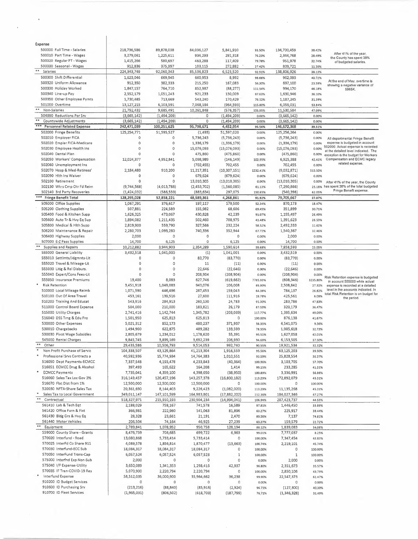| Expense                                              |                           |                         |                         |                       |                  |                             |                  |                                                                      |
|------------------------------------------------------|---------------------------|-------------------------|-------------------------|-----------------------|------------------|-----------------------------|------------------|----------------------------------------------------------------------|
| 500000 Full Time - Salaries                          | 218,736,586               | 89,878,038              | 84,036,127              | 5,841,910             | 93.50%           | 134,700,459                 | 38.42%           |                                                                      |
| 500010 Part Time - Wages                             | 3,279,061                 | 1,225,611               | 934,293                 | 291,318               | 76.23%           | 2,344,768                   | 28.49%           | After 41% of the year,<br>the County has spent 38%                   |
| 500020 Regular PT - Wages                            | 1,415,266                 | 580,697                 | 463,288                 | 117,409               | 79.78%           | 951,978                     | 32.74%           | of budgeted salaries.                                                |
| 500030 Seasonal - Wages                              | 912,836                   | 375,997                 | 103,115                 | 272,882               | 27.42%           | 809,721                     | 11.30%           |                                                                      |
| Salaries                                             | 224,343,749               | 92,060,343              | 85,536,823              | 6,523,520             | 92.91%           | 138,806,926                 | 38.13%           |                                                                      |
| 500300 Shift Differential                            | 1,623,046                 | 669,945                 | 660,953                 | 8,992                 | 98.66%           | 962,093                     | 40.72%           |                                                                      |
| 500320 Uniform Allowance                             | 912,350                   | 382,333                 | 215,250                 | 167,083               | 56.30%           | 697,100                     | 23.59%           | At the end of May, overtime is<br>showing a negative variance of     |
| 500330 Holiday Worked                                | 1,847,157                 | 764,710                 | 852,987                 | (88, 277)             | 111.54%          | 994,170                     | 46.18%           | S965K.                                                               |
| 500340 Line-up Pay                                   | 2,552,179                 | 1,051,243               | 921,233                 | 130,009               | 87.63%           | 1,630,946                   | 36.10%           |                                                                      |
| 500350 Other Employee Pymts                          | 1,730,485                 | 713,669                 | 543,240                 | 170,429               | 76.12%           | 1,187,245                   | 31.39%           |                                                                      |
| 501000 Overtime                                      | 13,127,215                | 6,103,591               | 7,068,184               | (964, 593)            | 115.80%          | 6,059,031                   | 53.84%           |                                                                      |
| Non-Salaries                                         | 21,792,432                | 9,685,491               | 10,261,848              | (576, 357)            | 105.95%          | 11,530,584                  | 47.09%           |                                                                      |
| 504990 Reductions Per Srv                            | (3,665,142)               | (1,494,209)             | 0                       | (1,494,209)           | 0.00%            | (3,665,142)                 | 0.00%            |                                                                      |
| **<br>Countywide Adjustments                         | (3,665,142)               | (1,494,209)             | $\circ$                 | (1,494,209)           | 0.00%            | (3,665,142)                 | 0.00%            |                                                                      |
| ***<br><b>Personnel Related Expense</b>              | 242,471,039               | 100,251,625             | 95,798,671              | 4,452,954             | 95.56%           | 146,672,368                 | 39.51%           |                                                                      |
| 502000 Fringe Benefits                               | 125,254,771               | 51,595,527              | (1, 493)                | 51,597,020            | 0.00%            | 125,256,264                 | 0.00%            |                                                                      |
| 502010 Employer FICA                                 | 0                         | 0                       | 5,736,243               |                       | 0.00%            | (5,736,243)                 | 0.00%            |                                                                      |
| 502020 Empler FICA-Medicare                          | 0                         | $\circ$                 |                         | (5,736,243)           |                  |                             |                  | All departmental Fringe Benefit<br>expense is budgeted in account    |
| 502030 Employee Health Ins                           | O                         | $\circ$                 | 1,336,179               | (1, 336, 179)         | 0.00%            | (1, 336, 179)               | 0.00%            | 502000. Actual expense is recorded                                   |
|                                                      |                           |                         | 15,076,093              | (15,076,093)          | 0.00%            | (15,076,093)                | 0.00%            | at the detailed level indicated. The                                 |
| 502040 Dental Plan                                   | O                         | $\circ$                 | 475,860                 | (475, 860)            | 0.00%            | (475, 860)                  | 0.00%            | exception is the budget for Workers                                  |
| 502050 Workers' Compensation                         | 12,024,377                | 4,952,841               | 5,098,989               | (146, 149)            | 102.95%          | 6,925,388                   | 42.41%           | Compensation and ECMC legacy<br>related expense.                     |
| 502060 Unemployment Ins                              | 0                         | 0                       | (702, 455)              | 702,455               | 0.00%            | 702,455                     | 0.00%            |                                                                      |
| 502070 Hosp & Med-Retirees'                          | 2,184,480                 | 910,200                 | 11,217,351              | (10, 307, 151)        | 1232.41%         | (9,032,871)                 | 513.50%          |                                                                      |
| 502090 Hlth Ins Waiver                               | 0                         | $\Omega$                | 679,624                 | (679, 624)            | 0.00%            | (679, 624)                  | 0.00%            |                                                                      |
| 502100 Retirement                                    | $\Omega$                  | $\circ$                 | 13,010,305              | (13,010,305)          | 0.00%            | (13,010,305)                | 0.00%            | After 41% of the year, the County                                    |
| 502130 Wkrs Cmp Otr Fd Reim                          | (9,744,568)               | (4,013,788)             | (2,453,702)             | (1,560,085)           | 61.13%           | (7, 290, 866)               | 25.18%           | has spent 38% of the total budgeted                                  |
| 502140 3rd Party Recoveries                          | (1, 424, 032)             | (586, 559)              | (883, 634)              | 297,075               | 150.65%          | (540, 398)                  | 62.05%           | Fringe Benefit expense.                                              |
| *** Fringe Benefit Total                             | 128,295,028               | 52,858,221              | 48,589,361              | 4,268,861             | 91.92%           | 79,705,667                  | 37.87%           |                                                                      |
| 505000 Office Supplies                               | 1,067,291                 | 376,617                 | 197,117                 | 179,500               | 52.34%           | 870,173                     | 18.47%           |                                                                      |
| 505200 Clothing Supplies                             | 507,881                   | 224,589                 | 155,982                 | 68,606                | 69.45%           | 351,899                     | 30.71%           |                                                                      |
| 505400 Food & Kitchen Supp                           | 1,626,325                 | 473,067                 | 430,828                 | 42,239                | 91.07%           | 1,195,497                   | 26.49%           |                                                                      |
| 505600 Auto Tr & Hvy Eq Sup                          |                           |                         | 502,460                 | 708,975               |                  |                             |                  |                                                                      |
|                                                      | 1,894,082                 | 1,211,435               |                         |                       | 41.48%           | 1,391,623                   | 26.53%           |                                                                      |
| 505800 Medical & Hlth Supp                           | 2,819,900                 | 559,790                 | 327,566                 | 232,224               | 58.52%           | 2,492,333                   | 11.62%           |                                                                      |
| 506200 Maintenance & Repair                          | 2,280,703                 | 1,093,280               | 740,336                 | 352,944               | 67.72%           | 1,540,367                   | 32.46%           |                                                                      |
| 506400 Highway Supplies                              | 2,000                     | 0                       | 0                       | $\Omega$              | 0.00%            | 2,000                       | 0.00%            |                                                                      |
| 507000 E-Z Pass Supplies                             | 14,700                    | 6,125                   | 0                       | 6,125                 | 0.00%            | 14,700                      | 0.00%            |                                                                      |
| Supplies and Repairs                                 | 10,212,882                | 3,944,903               | 2,354,289               | 1,590,614             | 59.68%           | 7,858,593                   | 23.05%           |                                                                      |
| 555000 General Liability                             | 3,432,518                 | 1,041,000               | (1)                     | 1,041,001             | 0.00%            | 3,432,519                   | 0.00%            |                                                                      |
| 555010 Settlmts/Jdgmnts-Lit                          | 0                         | 0                       | 83,770                  | (83, 770)             | 0.00%            | (83,770)                    | 0.00%            |                                                                      |
| 555020 Travel & Mileage-Lit                          | $\circ$                   | $\Omega$                | 11                      | (11)                  | 0.00%            | (11)                        | 0.00%            |                                                                      |
| 555030 Litig & Rel Disburs.                          | $\circ$                   | $\circ$                 | 22,646                  | (22, 646)             | 0.00%            | (22, 646)                   | 0.00%            |                                                                      |
| 555040 Expert/Cons Fees-Lit                          | $\Omega$                  | $\circ$                 | 208,904                 | (208, 904)            | 0.00%            | (208, 904)                  | 0.00%            |                                                                      |
| 555050 Insurance Premiums                            | 19,400                    | 8,083                   | 627,746                 | (619, 662)            | 7765.93%         | (608, 346)                  | 3235.80%         | Risk Retention expense is budgeted<br>in account 555000 while actual |
| <b>Risk Retention</b>                                | 3,451,918                 | 1,049,083               | 943,076                 | 106,008               | 89.90%           | 2,508,842                   | 27.32%           | expense is recorded at a detailed                                    |
| 510000 Local Mileage Reimb                           | 1,071,590                 | 446,496                 | 287,453                 | 159,043               | 64.38%           | 784,137                     | 26.82%           | level in the accounts indicated. In                                  |
| 510100 Out Of Area Travel                            | 453,161                   | 139,516                 | 27,600                  | 111,916               | 19.78%           | 425,561                     | 6.09%            | total Risk Retention is on budget for                                |
| 510200 Training And Educat                           | 543,916                   | 284,913                 | 260,130                 | 24,783                | 91.30%           | 283,786                     | 47,83%           | the period.                                                          |
| 511000 Control Board Expense                         | 504,000                   | 210,000                 | 183,821                 | 26,179                | 87.53%           | 320,179                     | 36.47%           |                                                                      |
| 515000 Utility Charges                               | 2,741,416                 | 1,142,744               | 1,345,782               | (203, 039)            | 117.77%          | 1,395,634                   | 49.09%           |                                                                      |
| 516040 DSS Trng & Edu Pro                            | 1,501,950                 | 625,813                 | 625,813                 | $\circ$               | 100.00%          | 876,138                     | 41.67%           |                                                                      |
|                                                      |                           |                         |                         |                       |                  |                             |                  |                                                                      |
| 530000 Other Expenses                                | 5,021,312                 | 852,173                 | 480,237                 | 371,937               | 56.35%           | 4,541,075                   | 9.56%            |                                                                      |
| 530010 Chargebacks                                   | 1,494,900                 | 622,875                 | 489,282                 | 133,593               | 78.55%           | 1,005,618                   | 32.73%           |                                                                      |
| 530030 Pivot Wage Subsidies                          | 2,805,679                 | 1,234,012               | 1,178,620               | 55,391                | 95.51%           | 1,627,058                   | 42.01%           |                                                                      |
| 545000 Rental Charges                                | 9,845,745                 | 3,899,169               | 3,692,239               | 206,930               | 94.69%           | 6,153,505                   | 37.50%           |                                                                      |
| $**$<br>Other                                        | 29,435,586                | 10,506,793              | 9,514,053               | 992,740               | 90.55%           | 19,921,534                  | 32.32%           |                                                                      |
| Non Profit Purchase of Servic                        | 104,338,507               | 43,129,864              | 41,213,304              | 1,916,559             | 95.56%           | 63,125,203                  | 39.50%           |                                                                      |
| Professional Srvs Contracts a                        | 40,592,936                | 15,774,934              | 14,764,383              | 1,010,551             | 93.59%           | 25,828,554                  | 36.37%           |                                                                      |
| 516050 Dept Payments-ECMCC                           | 7,337,548                 | 4,193,478               | 4,233,843               | (40, 364)             | 100.96%          | 3,103,705                   | 57.70%           |                                                                      |
| 516051 ECMCC Drug & Alcohol                          | 397,493                   | 165,622                 | 164,208                 | 1,414                 | 99.15%           | 233,285                     | 41.31%           |                                                                      |
| <b>ECMCC Payments</b>                                | 7,735,041                 | 4,359,100               | 4,398,050               | (38,950)              | 100.89%          | 3,336,991                   | <b>S6.86%</b>    |                                                                      |
| 516060 Sales Tax Loc Gov 3%                          | 316,149,457               | 126,457,196             | 143,257,378             | (16,800,182)          | 113.29%          | 172,892,079                 | 45.31%           |                                                                      |
| 516070 Flat Dist from 1%                             | 12,500,000                | 12,500,000              | 12,500,000              | 0                     | 100.00%          | 0                           | 100.00%          |                                                                      |
| 520030 NFTA-Share Sales Tax                          | 20,361,690                | 8,144,403               | 9,226,423               | (1,082,020)           | 113.29%          | 11,135,268                  | 45.31%           |                                                                      |
| Sales Tax to Local Government                        | 349,011,147               | 147,101,599             | 164,983,801             | (17,882,202)          | 112.16%          | 184,027,346                 | 47.27%           |                                                                      |
| $\pm\pm$<br>Contractual                              | 518,327,971               | 215,910,193             | 230,904,234             | (14,994,041)          | 106.94%          | 287,423,737                 | 44.55%           |                                                                      |
| 561410 Lab & Tech Eqt                                | 2,188,029                 | 758,167                 | 741,578                 | 16,589                | 97.81%           | 1,446,450                   | 33.89%           |                                                                      |
| 561420 Office Furn & Fixt                            | 366,981                   | 222,960                 | 141,063                 | 81,896                | 63.27%           | 225,917                     | 38.44%           |                                                                      |
| 561430 Bldg Grs & Hvy Eq                             |                           |                         |                         |                       |                  |                             |                  |                                                                      |
|                                                      | 28,328                    | 23,661                  | 21,191                  | 2,470                 | 89.56%           | 7,137                       | 74.81%           |                                                                      |
| 561440 Motor Vehicles<br>**                          | 206,504                   | 74,164                  | 46,925                  | 27,239                | 63.27%           | 159,579                     | 22.72%           |                                                                      |
| Equipment                                            | 2,789,841                 | 1,078,952               | 950,758                 | 128,194               | 88.12%           | 1,839,083                   | 34.08%           |                                                                      |
| 559000 County Share - Grants                         | 8,476,759                 | 706,685                 | 699,722                 | 6,963                 | 99.01%           | 7,777,037                   | 8.25%            |                                                                      |
| 570020 Interfund - Road                              | 13,080,868                | 5,733,414               | 5,733,414               | 0                     | 100.00%          | 7,347,454                   | 43.83%           |                                                                      |
| 570025 InterFd Co Share 911                          | 4,089,578                 | 1,856,814               | 1,870,477               | (13, 663)             | 100.74%          | 2,219,101                   | 45.74%           |                                                                      |
| 570030 Interfund-ECC Sub                             | 18,084,317                | 18,084,317              | 18,084,317              | 0                     | 100,00%          | 0                           | 100.00%          |                                                                      |
| 570050 InterFund Trans-Cap                           | 6,057,524                 | 6,057,524               | 6,057,523               | $\mathbf{1}$          | 100,00%          | $\mathbf 1$                 | 100.00%          |                                                                      |
|                                                      |                           | 0                       | $\circ$                 | 0                     | 0,00%            | 2,000                       | 0.00%            |                                                                      |
| 575000 Interfnd Exp Non-Sub                          | 2,000                     |                         |                         |                       |                  | 2,351,673                   | 35.57%           |                                                                      |
| 575040 I/F Expense-Utility                           | 3,650,089                 | 1,341,353               | 1,298,416               | 42,937                | 96.80%           |                             |                  |                                                                      |
| 570035 IF Tran-COVID-19 Res                          | 5,070,900                 | 2,220,794               | 2,220,794               | 0                     | 100.00%          | 2,850,106                   | 43,79%           |                                                                      |
| Interfund Expense                                    |                           |                         |                         |                       |                  |                             |                  |                                                                      |
| ×<br>910200 ID Budget Services                       | 58,512,035<br>0           | 36,000,900<br>0         | 35,964,662              | 36,238<br>0           | 99.90%           | 22,547,373                  | 61.47%           |                                                                      |
|                                                      |                           |                         | 0                       |                       | 0.00%            | 0                           | 0.00%            |                                                                      |
| 910600 ID Purchasing Srv<br>910700 ID Fleet Services | (213, 216)<br>(1,965,031) | (88, 840)<br>(806, 502) | (85, 916)<br>(618, 703) | (2,924)<br>(187, 799) | 96.71%<br>76.71% | (127, 300)<br>(1, 346, 328) | 40,30%<br>31.49% |                                                                      |

 $\mathcal{L}_\text{max}$  and  $\mathcal{L}_\text{max}$  are the second contract of the second contract of  $\mathcal{L}_\text{max}$